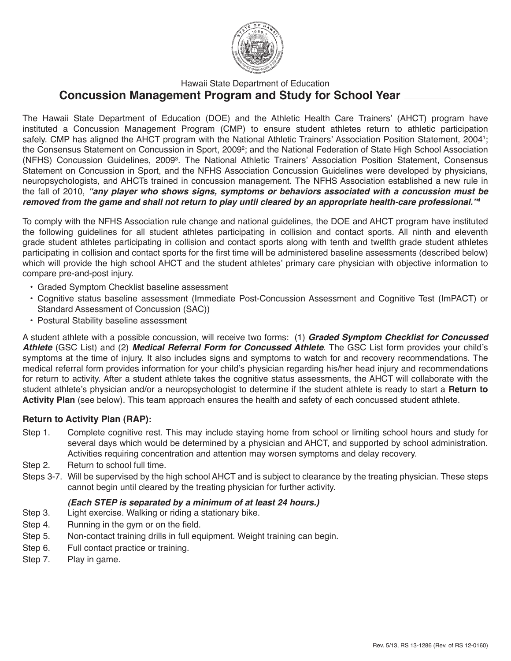

# Hawaii State Department of Education **Concussion Management Program and Study for School Year**

The Hawaii State Department of Education (DOE) and the Athletic Health Care Trainers' (AHCT) program have instituted a Concussion Management Program (CMP) to ensure student athletes return to athletic participation safely. CMP has aligned the AHCT program with the National Athletic Trainers' Association Position Statement, 20041 ; the Consensus Statement on Concussion in Sport, 2009<sup>2</sup>; and the National Federation of State High School Association (NFHS) Concussion Guidelines, 2009<sup>3</sup>. The National Athletic Trainers' Association Position Statement, Consensus Statement on Concussion in Sport, and the NFHS Association Concussion Guidelines were developed by physicians, neuropsychologists, and AHCTs trained in concussion management. The NFHS Association established a new rule in the fall of 2010, *"any player who shows signs, symptoms or behaviors associated with a concussion must be removed from the game and shall not return to play until cleared by an appropriate health-care professional."4*

To comply with the NFHS Association rule change and national guidelines, the DOE and AHCT program have instituted the following guidelines for all student athletes participating in collision and contact sports. All ninth and eleventh grade student athletes participating in collision and contact sports along with tenth and twelfth grade student athletes participating in collision and contact sports for the first time will be administered baseline assessments (described below) which will provide the high school AHCT and the student athletes' primary care physician with objective information to compare pre-and-post injury.

- Graded Symptom Checklist baseline assessment
- Cognitive status baseline assessment (Immediate Post-Concussion Assessment and Cognitive Test (ImPACT) or Standard Assessment of Concussion (SAC))
- Postural Stability baseline assessment

A student athlete with a possible concussion, will receive two forms: (1) *Graded Symptom Checklist for Concussed Athlete* (GSC List) and (2) *Medical Referral Form for Concussed Athlete*. The GSC List form provides your child's symptoms at the time of injury. It also includes signs and symptoms to watch for and recovery recommendations. The medical referral form provides information for your child's physician regarding his/her head injury and recommendations for return to activity. After a student athlete takes the cognitive status assessments, the AHCT will collaborate with the student athlete's physician and/or a neuropsychologist to determine if the student athlete is ready to start a **Return to Activity Plan** (see below). This team approach ensures the health and safety of each concussed student athlete.

## **Return to Activity Plan (RAP):**

- Step 1. Complete cognitive rest. This may include staying home from school or limiting school hours and study for several days which would be determined by a physician and AHCT, and supported by school administration. Activities requiring concentration and attention may worsen symptoms and delay recovery.
- Step 2. Return to school full time.
- Steps 3-7. Will be supervised by the high school AHCT and is subject to clearance by the treating physician. These steps cannot begin until cleared by the treating physician for further activity.

## *(Each STEP is separated by a minimum of at least 24 hours.)*

- Step 3. Light exercise. Walking or riding a stationary bike.
- Step 4. Running in the gym or on the field.
- Step 5. Non-contact training drills in full equipment. Weight training can begin.
- Step 6. Full contact practice or training.
- Step 7. Play in game.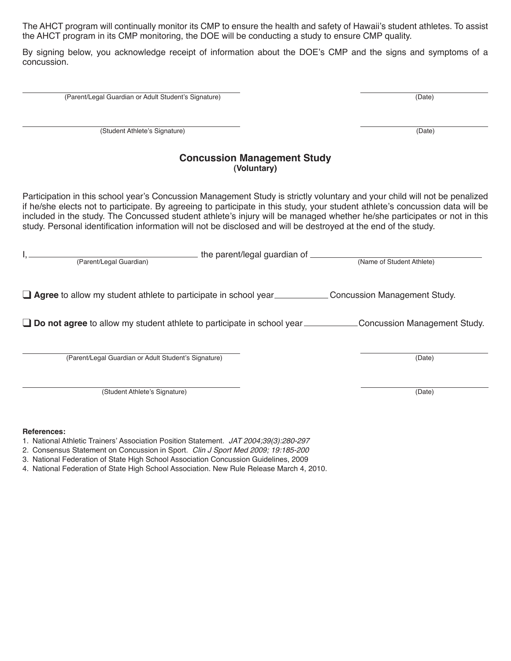The AHCT program will continually monitor its CMP to ensure the health and safety of Hawaii's student athletes. To assist the AHCT program in its CMP monitoring, the DOE will be conducting a study to ensure CMP quality.

By signing below, you acknowledge receipt of information about the DOE's CMP and the signs and symptoms of a concussion.

(Parent/Legal Guardian or Adult Student's Signature) (Date)

(Student Athlete's Signature) (Date)

## **Concussion Management Study (Voluntary)**

Participation in this school year's Concussion Management Study is strictly voluntary and your child will not be penalized if he/she elects not to participate. By agreeing to participate in this study, your student athlete's concussion data will be included in the study. The Concussed student athlete's injury will be managed whether he/she participates or not in this study. Personal identification information will not be disclosed and will be destroyed at the end of the study.

| the parent/legal guardian of<br>(Parent/Legal Guardian)                                             | (Name of Student Athlete)    |
|-----------------------------------------------------------------------------------------------------|------------------------------|
| <b>Agree</b> to allow my student athlete to participate in school year Concussion Management Study. |                              |
| $\Box$ Do not agree to allow my student athlete to participate in school year $\Box$                | Concussion Management Study. |
| (Parent/Legal Guardian or Adult Student's Signature)                                                | (Date)                       |

(Student Athlete's Signature) (Date)

#### **References:**

- 1. National Athletic Trainers' Association Position Statement. *JAT 2004;39(3):280-297*
- 2*.* Consensus Statement on Concussion in Sport. *Clin J Sport Med 2009; 19:185-200*
- 3. National Federation of State High School Association Concussion Guidelines, 2009
- 4. National Federation of State High School Association. New Rule Release March 4, 2010.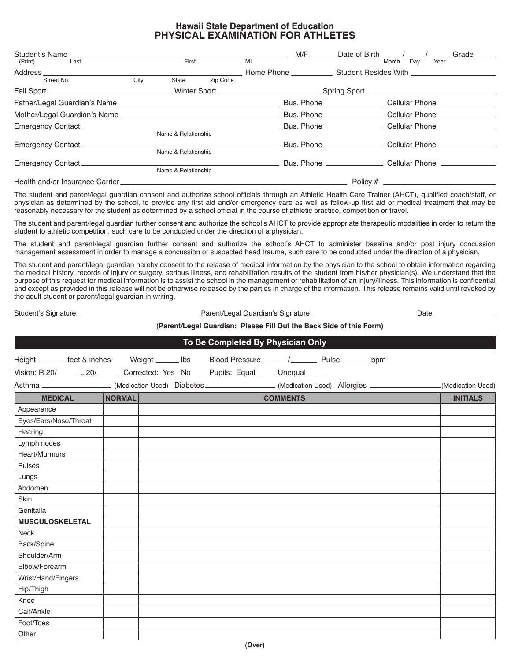### **Hawaii State Department of Education PHYSICAL EXAMINATION FOR ATHLETES**

| Student's Name                |                     |                     |          | M/F                             |  | Date of Birth / /<br>Grade                                    |  |
|-------------------------------|---------------------|---------------------|----------|---------------------------------|--|---------------------------------------------------------------|--|
| (Print)<br>Last               |                     | First               |          | MI                              |  | Month<br>Dav<br>Year                                          |  |
| Address ___________           |                     |                     |          | Home Phone Student Resides With |  |                                                               |  |
| Street No.                    | City                | State               | Zip Code |                                 |  |                                                               |  |
|                               |                     |                     |          |                                 |  |                                                               |  |
|                               |                     |                     |          |                                 |  | Cellular Phone <b>Cellular</b>                                |  |
|                               |                     |                     |          |                                 |  | Bus. Phone ______________________ Cellular Phone ___________  |  |
|                               |                     |                     |          |                                 |  | Bus. Phone ______________________ Cellular Phone ___________  |  |
|                               | Name & Relationship |                     |          |                                 |  |                                                               |  |
| Emergency Contact ___________ |                     |                     |          |                                 |  | Bus. Phone ______________________ Cellular Phone __________   |  |
| Name & Relationship           |                     |                     |          |                                 |  |                                                               |  |
| Emergency Contact             |                     |                     |          |                                 |  | Bus. Phone ________________________ Cellular Phone __________ |  |
|                               |                     | Name & Relationship |          |                                 |  |                                                               |  |
|                               |                     |                     |          |                                 |  |                                                               |  |
|                               |                     |                     |          |                                 |  |                                                               |  |

The student and parent/legal guardian consent and authorize school officials through an Athletic Health Care Trainer (AHCT), qualified coach/staff, or physician as determined by the school, to provide any first aid and/or emergency care as well as follow-up first aid or medical treatment that may be reasonably necessary for the student as determined by a school official in the course of athletic practice, competition or travel.

The student and parent/legal guardian further consent and authorize the school's AHCT to provide appropriate therapeutic modalities in order to return the student to athletic competition, such care to be conducted under the direction of a physician.

The student and parent/legal guardian further consent and authorize the school's AHCT to administer baseline and/or post injury concussion management assessment in order to manage a concussion or suspected head trauma, such care to be conducted under the direction of a physician.

The student and parent/legal guardian hereby consent to the release of medical information by the physician to the school to obtain information regarding the medical history, records of injury or surgery, serious illness, and rehabilitation results of the student from his/her physician(s). We understand that the purpose of this request for medical information is to assist the school in the management or rehabilitation of an injury/illness. This information is confidential and except as provided in this release will not be otherwise released by the parties in charge of the information. This release remains valid until revoked by the adult student or parent/legal guardian in writing.

Student's Signature Late Parent/Legal Guardian's Signature Parent/Legal Guardian's Signature Parent Date Late

#### (**Parent/Legal Guardian: Please Fill Out the Back Side of this Form)**

| To Be Completed By Physician Only                                                                                    |               |  |  |                                                        |                 |  |  |                   |
|----------------------------------------------------------------------------------------------------------------------|---------------|--|--|--------------------------------------------------------|-----------------|--|--|-------------------|
| Height _______ feet & inches Weight ______ lbs                                                                       |               |  |  | Blood Pressure ______/____________ Pulse _________ bpm |                 |  |  |                   |
| Vision: R 20/ _____ L 20/ _____ Corrected: Yes No Pupils: Equal ____ Unequal ____                                    |               |  |  |                                                        |                 |  |  |                   |
| Asthma _____________________(Medication Used) Diabetes _________________(Medication Used) Allergies ________________ |               |  |  |                                                        |                 |  |  | (Medication Used) |
| <b>MEDICAL</b>                                                                                                       | <b>NORMAL</b> |  |  |                                                        | <b>COMMENTS</b> |  |  | <b>INITIALS</b>   |
| Appearance                                                                                                           |               |  |  |                                                        |                 |  |  |                   |
| Eyes/Ears/Nose/Throat                                                                                                |               |  |  |                                                        |                 |  |  |                   |
| Hearing                                                                                                              |               |  |  |                                                        |                 |  |  |                   |
| Lymph nodes                                                                                                          |               |  |  |                                                        |                 |  |  |                   |
| Heart/Murmurs                                                                                                        |               |  |  |                                                        |                 |  |  |                   |
| Pulses                                                                                                               |               |  |  |                                                        |                 |  |  |                   |
| Lungs                                                                                                                |               |  |  |                                                        |                 |  |  |                   |
| Abdomen                                                                                                              |               |  |  |                                                        |                 |  |  |                   |
| Skin                                                                                                                 |               |  |  |                                                        |                 |  |  |                   |
| Genitalia                                                                                                            |               |  |  |                                                        |                 |  |  |                   |
| <b>MUSCULOSKELETAL</b>                                                                                               |               |  |  |                                                        |                 |  |  |                   |
| <b>Neck</b>                                                                                                          |               |  |  |                                                        |                 |  |  |                   |
| Back/Spine                                                                                                           |               |  |  |                                                        |                 |  |  |                   |
| Shoulder/Arm                                                                                                         |               |  |  |                                                        |                 |  |  |                   |
| Elbow/Forearm                                                                                                        |               |  |  |                                                        |                 |  |  |                   |
| Wrist/Hand/Fingers                                                                                                   |               |  |  |                                                        |                 |  |  |                   |
| Hip/Thigh                                                                                                            |               |  |  |                                                        |                 |  |  |                   |
| Knee                                                                                                                 |               |  |  |                                                        |                 |  |  |                   |
| Calf/Ankle                                                                                                           |               |  |  |                                                        |                 |  |  |                   |
| Foot/Toes                                                                                                            |               |  |  |                                                        |                 |  |  |                   |
| Other                                                                                                                |               |  |  |                                                        |                 |  |  |                   |